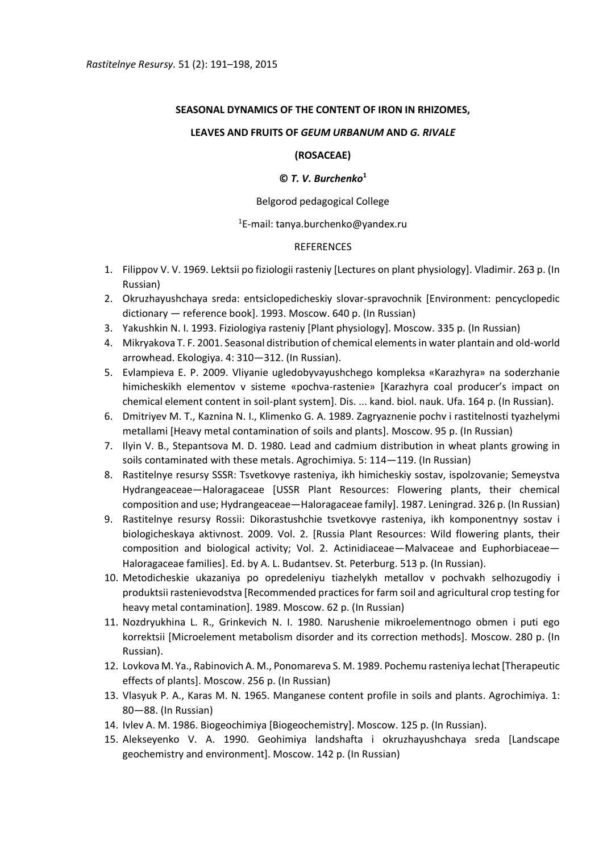# **SEASONAL DYNAMICS OF THE CONTENT OF IRON IN RHIZOMES,**

## **LEAVES AND FRUITS OF** *GEUM URBANUM* **AND** *G. RIVALE*

### **(ROSACEAE)**

## **©** *T. V. Burchenko***<sup>1</sup>**

### Belgorod pedagogical College

## $1$ E-mail: tanya.burchenko@yandex.ru

## REFERENCES

- 1. Filippov V. V. 1969. Lektsii po fiziologii rasteniy [Lectures on plant physiology]. Vladimir. 263 p. (In Russian)
- 2. Okruzhayushchaya sreda: entsiclopedicheskiy slovar-spravochnik [Environment: pencyclopedic dictionary — reference book]. 1993. Moscow. 640 p. (In Russian)
- 3. Yakushkin N. I. 1993. Fiziologiya rasteniy [Plant physiology]. Moscow. 335 p. (In Russian)
- 4. Mikryakova T. F. 2001. Seasonal distribution of chemical elements in water plantain and old-world arrowhead. Ekologiya. 4: 310—312. (In Russian).
- 5. Evlampieva E. P. 2009. Vliyanie ugledobyvayushchego kompleksa «Karazhyra» na soderzhanie himicheskikh elementov v sisteme «pochva-rastenie» [Karazhyra coal producer's impact on chemical element content in soil-plant system]. Dis. ... kand. biol. nauk. Ufa. 164 p. (In Russian).
- 6. Dmitriyev M. T., Kaznina N. I., Klimenko G. A. 1989. Zagryaznenie pochv i rastitelnosti tyazhelymi metallami [Heavy metal contamination of soils and plants]. Мoscow. 95 p. (In Russian)
- 7. Ilyin V. B., Stepantsova M. D. 1980. Lead and cadmium distribution in wheat plants growing in soils contaminated with these metals. Agrochimiya. 5: 114—119. (In Russian)
- 8. Rastitelnye resursy SSSR: Tsvetkovye rasteniya, ikh himicheskiy sostav, ispolzovanie; Semeystva Hydrangeaceae—Haloragaceae [USSR Plant Resources: Flowering plants, their chemical composition and use; Hydrangeaceae—Haloragaceae family]. 1987. Leningrad. 326 p. (In Russian)
- 9. Rastitelnye resursy Rossii: Dikorastushchie tsvetkovye rasteniya, ikh komponentnyy sostav i biologicheskaya aktivnost. 2009. Vol. 2. [Russia Plant Resources: Wild flowering plants, their composition and biological activity; Vol. 2. Actinidiaceae—Malvaceae and Euphorbiaceae— Haloragaceae families]. Ed. by A. L. Budantsev. St. Peterburg. 513 p. (In Russian).
- 10. Metodicheskie ukazaniya po opredeleniyu tiazhelykh metallov v pochvakh selhozugodiy i produktsii rastenievodstva [Recommended practices for farm soil and agricultural crop testing for heavy metal contamination]. 1989. Moscow. 62 p. (In Russian)
- 11. Nozdryukhina L. R., Grinkevich N. I. 1980. Narushenie mikroelementnogo obmen i puti ego korrektsii [Microelement metabolism disorder and its correction methods]. Moscow. 280 p. (In Russian).
- 12. Lovkova M. Ya., Rabinovich A. M., Ponomareva S. M. 1989. Pochemu rasteniya lechat [Therapeutic effects of plants]. Moscow. 256 p. (In Russian)
- 13. Vlasyuk P. A., Karas M. N. 1965. Manganese content profile in soils and plants. Agrochimiya. 1: 80—88. (In Russian)
- 14. Ivlev A. M. 1986. Biogeochimiya [Biogeochemistry]. Moscow. 125 p. (In Russian).
- 15. Alekseyenko V. A. 1990. Geohimiya landshafta i okruzhayushchaya sreda [Landscape geochemistry and environment]. Moscow. 142 p. (In Russian)